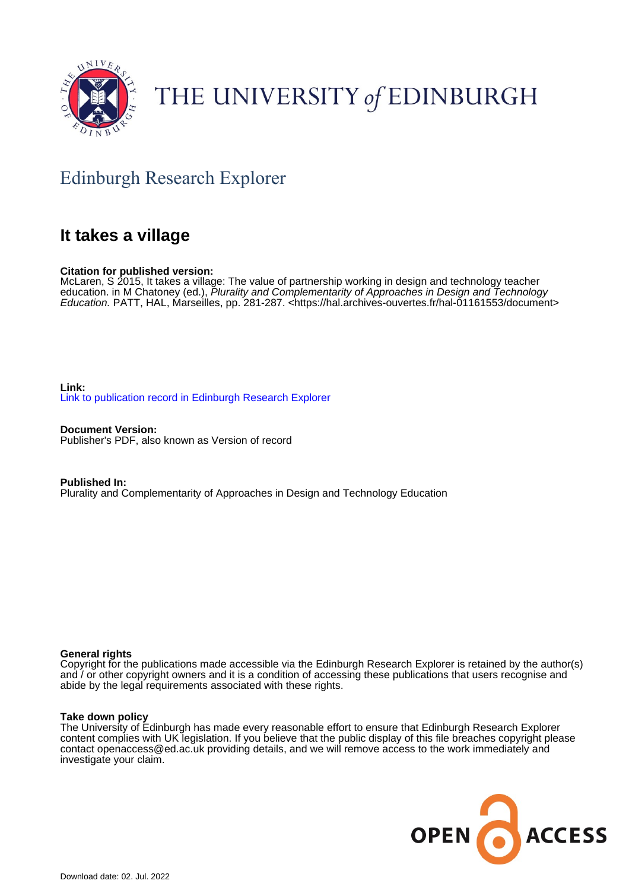

# THE UNIVERSITY of EDINBURGH

# Edinburgh Research Explorer

# **It takes a village**

#### **Citation for published version:**

McLaren, S 2015, It takes a village: The value of partnership working in design and technology teacher education. in M Chatoney (ed.), Plurality and Complementarity of Approaches in Design and Technology Education. PATT, HAL, Marseilles, pp. 281-287. [<https://hal.archives-ouvertes.fr/hal-01161553/document](https://hal.archives-ouvertes.fr/hal-01161553/document)>

**Link:** [Link to publication record in Edinburgh Research Explorer](https://www.research.ed.ac.uk/en/publications/ce5f38fd-fcc0-4b08-b5e8-728885e8f928)

**Document Version:** Publisher's PDF, also known as Version of record

**Published In:** Plurality and Complementarity of Approaches in Design and Technology Education

#### **General rights**

Copyright for the publications made accessible via the Edinburgh Research Explorer is retained by the author(s) and / or other copyright owners and it is a condition of accessing these publications that users recognise and abide by the legal requirements associated with these rights.

#### **Take down policy**

The University of Edinburgh has made every reasonable effort to ensure that Edinburgh Research Explorer content complies with UK legislation. If you believe that the public display of this file breaches copyright please contact openaccess@ed.ac.uk providing details, and we will remove access to the work immediately and investigate your claim.

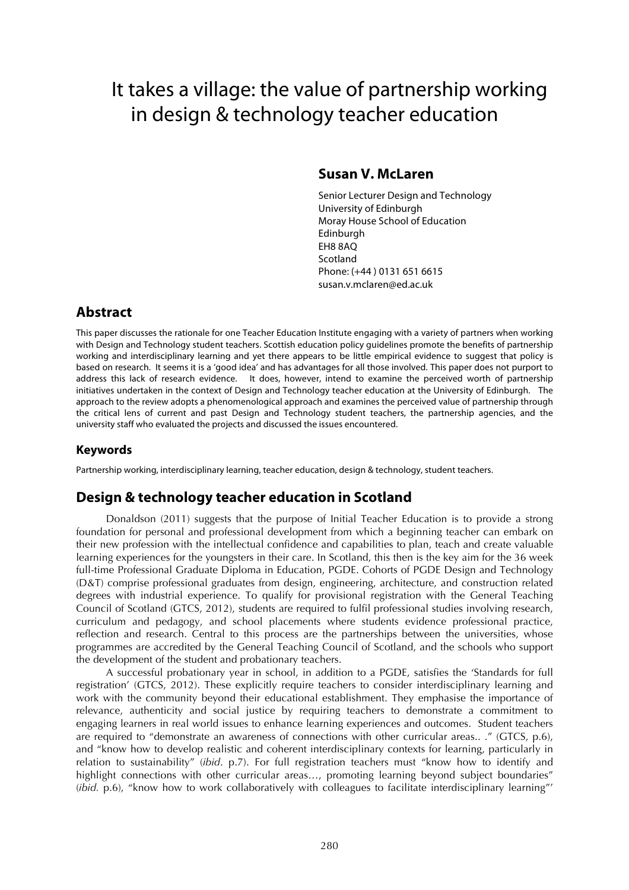# It takes a village: the value of partnership working in design & technology teacher education

### **Susan V. McLaren**

Senior Lecturer Design and Technology University of Edinburgh Moray House School of Education **Edinburgh** EH8 8AQ Scotland Phone: (+44 ) 0131 651 6615 susan.v.mclaren@ed.ac.uk

# **Abstract**

This paper discusses the rationale for one Teacher Education Institute engaging with a variety of partners when working with Design and Technology student teachers. Scottish education policy guidelines promote the benefits of partnership working and interdisciplinary learning and yet there appears to be little empirical evidence to suggest that policy is based on research. It seems it is a 'good idea' and has advantages for all those involved. This paper does not purport to address this lack of research evidence. It does, however, intend to examine the perceived worth of partnership initiatives undertaken in the context of Design and Technology teacher education at the University of Edinburgh. The approach to the review adopts a phenomenological approach and examines the perceived value of partnership through the critical lens of current and past Design and Technology student teachers, the partnership agencies, and the university staff who evaluated the projects and discussed the issues encountered.

### **Keywords**

Partnership working, interdisciplinary learning, teacher education, design & technology, student teachers.

## **Design & technology teacher education in Scotland**

Donaldson (2011) suggests that the purpose of Initial Teacher Education is to provide a strong foundation for personal and professional development from which a beginning teacher can embark on their new profession with the intellectual confidence and capabilities to plan, teach and create valuable learning experiences for the youngsters in their care. In Scotland, this then is the key aim for the 36 week full-time Professional Graduate Diploma in Education, PGDE. Cohorts of PGDE Design and Technology (D&T) comprise professional graduates from design, engineering, architecture, and construction related degrees with industrial experience. To qualify for provisional registration with the General Teaching Council of Scotland (GTCS, 2012), students are required to fulfil professional studies involving research, curriculum and pedagogy, and school placements where students evidence professional practice, reflection and research. Central to this process are the partnerships between the universities, whose programmes are accredited by the General Teaching Council of Scotland, and the schools who support the development of the student and probationary teachers.

A successful probationary year in school, in addition to a PGDE, satisfies the 'Standards for full registration' (GTCS, 2012). These explicitly require teachers to consider interdisciplinary learning and work with the community beyond their educational establishment. They emphasise the importance of relevance, authenticity and social justice by requiring teachers to demonstrate a commitment to engaging learners in real world issues to enhance learning experiences and outcomes. Student teachers are required to "demonstrate an awareness of connections with other curricular areas.. ." (GTCS, p.6), and "know how to develop realistic and coherent interdisciplinary contexts for learning, particularly in relation to sustainability" (*ibid*. p.7). For full registration teachers must "know how to identify and highlight connections with other curricular areas..., promoting learning beyond subject boundaries" (*ibid.* p.6), "know how to work collaboratively with colleagues to facilitate interdisciplinary learning"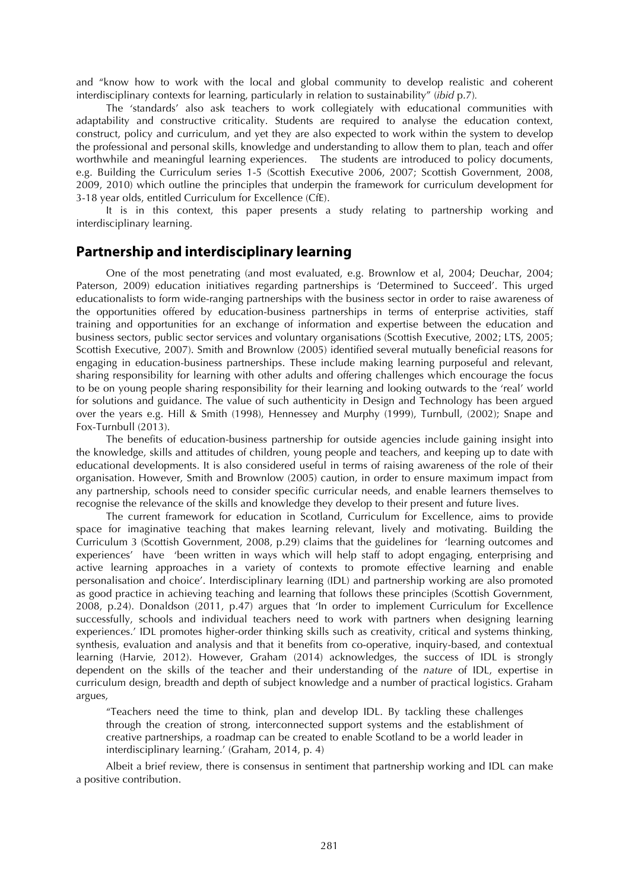and "know how to work with the local and global community to develop realistic and coherent interdisciplinary contexts for learning, particularly in relation to sustainability" (*ibid* p.7)*.* 

The 'standards' also ask teachers to work collegiately with educational communities with adaptability and constructive criticality. Students are required to analyse the education context, construct, policy and curriculum, and yet they are also expected to work within the system to develop the professional and personal skills, knowledge and understanding to allow them to plan, teach and offer worthwhile and meaningful learning experiences. The students are introduced to policy documents, e.g. Building the Curriculum series 1-5 (Scottish Executive 2006, 2007; Scottish Government, 2008, 2009, 2010) which outline the principles that underpin the framework for curriculum development for 3-18 year olds, entitled Curriculum for Excellence (CfE).

It is in this context, this paper presents a study relating to partnership working and interdisciplinary learning.

#### **Partnership and interdisciplinary learning**

One of the most penetrating (and most evaluated, e.g. Brownlow et al, 2004; Deuchar, 2004; Paterson, 2009) education initiatives regarding partnerships is 'Determined to Succeed'. This urged educationalists to form wide-ranging partnerships with the business sector in order to raise awareness of the opportunities offered by education-business partnerships in terms of enterprise activities, staff training and opportunities for an exchange of information and expertise between the education and business sectors, public sector services and voluntary organisations (Scottish Executive, 2002; LTS, 2005; Scottish Executive, 2007). Smith and Brownlow (2005) identified several mutually beneficial reasons for engaging in education-business partnerships. These include making learning purposeful and relevant, sharing responsibility for learning with other adults and offering challenges which encourage the focus to be on young people sharing responsibility for their learning and looking outwards to the 'real' world for solutions and guidance. The value of such authenticity in Design and Technology has been argued over the years e.g. Hill & Smith (1998), Hennessey and Murphy (1999), Turnbull, (2002); Snape and Fox-Turnbull (2013).

The benefits of education-business partnership for outside agencies include gaining insight into the knowledge, skills and attitudes of children, young people and teachers, and keeping up to date with educational developments. It is also considered useful in terms of raising awareness of the role of their organisation. However, Smith and Brownlow (2005) caution, in order to ensure maximum impact from any partnership, schools need to consider specific curricular needs, and enable learners themselves to recognise the relevance of the skills and knowledge they develop to their present and future lives.

The current framework for education in Scotland, Curriculum for Excellence, aims to provide space for imaginative teaching that makes learning relevant, lively and motivating. Building the Curriculum 3 (Scottish Government, 2008, p.29) claims that the guidelines for 'learning outcomes and experiences' have 'been written in ways which will help staff to adopt engaging, enterprising and active learning approaches in a variety of contexts to promote effective learning and enable personalisation and choice'. Interdisciplinary learning (IDL) and partnership working are also promoted as good practice in achieving teaching and learning that follows these principles (Scottish Government, 2008, p.24). Donaldson (2011, p.47) argues that 'In order to implement Curriculum for Excellence successfully, schools and individual teachers need to work with partners when designing learning experiences.' IDL promotes higher-order thinking skills such as creativity, critical and systems thinking, synthesis, evaluation and analysis and that it benefits from co-operative, inquiry-based, and contextual learning (Harvie, 2012). However, Graham (2014) acknowledges, the success of IDL is strongly dependent on the skills of the teacher and their understanding of the *nature* of IDL, expertise in curriculum design, breadth and depth of subject knowledge and a number of practical logistics. Graham argues,

"Teachers need the time to think, plan and develop IDL. By tackling these challenges through the creation of strong, interconnected support systems and the establishment of creative partnerships, a roadmap can be created to enable Scotland to be a world leader in interdisciplinary learning.' (Graham, 2014, p. 4)

Albeit a brief review, there is consensus in sentiment that partnership working and IDL can make a positive contribution.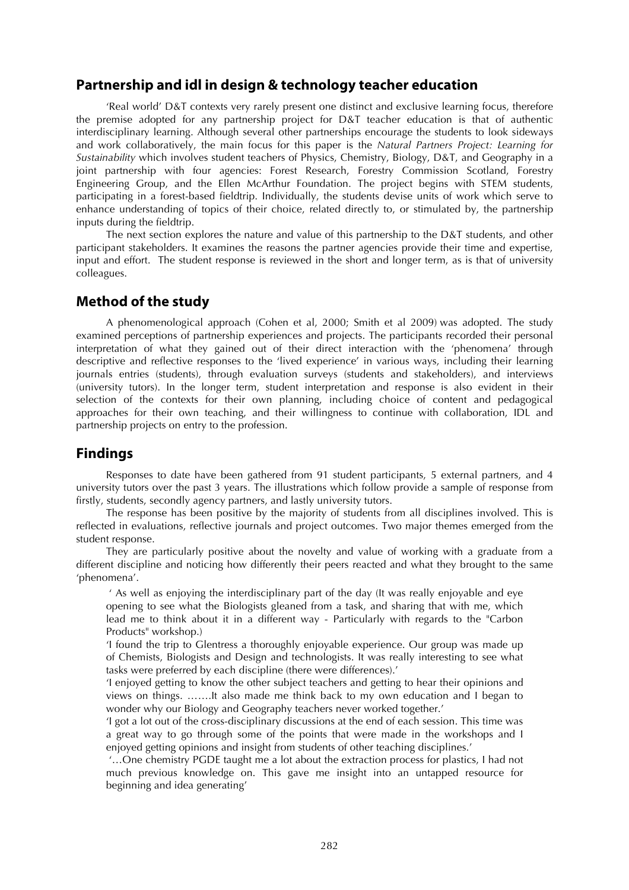#### **Partnership and idl in design & technology teacher education**

'Real world' D&T contexts very rarely present one distinct and exclusive learning focus, therefore the premise adopted for any partnership project for D&T teacher education is that of authentic interdisciplinary learning. Although several other partnerships encourage the students to look sideways and work collaboratively, the main focus for this paper is the *Natural Partners Project: Learning for Sustainability* which involves student teachers of Physics, Chemistry, Biology, D&T, and Geography in a joint partnership with four agencies: Forest Research, Forestry Commission Scotland, Forestry Engineering Group, and the Ellen McArthur Foundation. The project begins with STEM students, participating in a forest-based fieldtrip. Individually, the students devise units of work which serve to enhance understanding of topics of their choice, related directly to, or stimulated by, the partnership inputs during the fieldtrip.

The next section explores the nature and value of this partnership to the D&T students, and other participant stakeholders. It examines the reasons the partner agencies provide their time and expertise, input and effort. The student response is reviewed in the short and longer term, as is that of university colleagues.

#### **Method of the study**

A phenomenological approach (Cohen et al, 2000; Smith et al 2009) was adopted. The study examined perceptions of partnership experiences and projects. The participants recorded their personal interpretation of what they gained out of their direct interaction with the 'phenomena' through descriptive and reflective responses to the 'lived experience' in various ways, including their learning journals entries (students), through evaluation surveys (students and stakeholders), and interviews (university tutors). In the longer term, student interpretation and response is also evident in their selection of the contexts for their own planning, including choice of content and pedagogical approaches for their own teaching, and their willingness to continue with collaboration, IDL and partnership projects on entry to the profession.

### **Findings**

Responses to date have been gathered from 91 student participants, 5 external partners, and 4 university tutors over the past 3 years. The illustrations which follow provide a sample of response from firstly, students, secondly agency partners, and lastly university tutors.

The response has been positive by the majority of students from all disciplines involved. This is reflected in evaluations, reflective journals and project outcomes. Two major themes emerged from the student response.

They are particularly positive about the novelty and value of working with a graduate from a different discipline and noticing how differently their peers reacted and what they brought to the same 'phenomena'.

 ' As well as enjoying the interdisciplinary part of the day (It was really enjoyable and eye opening to see what the Biologists gleaned from a task, and sharing that with me, which lead me to think about it in a different way - Particularly with regards to the "Carbon Products" workshop.)

'I found the trip to Glentress a thoroughly enjoyable experience. Our group was made up of Chemists, Biologists and Design and technologists. It was really interesting to see what tasks were preferred by each discipline (there were differences).'

'I enjoyed getting to know the other subject teachers and getting to hear their opinions and views on things. …….It also made me think back to my own education and I began to wonder why our Biology and Geography teachers never worked together.'

'I got a lot out of the cross-disciplinary discussions at the end of each session. This time was a great way to go through some of the points that were made in the workshops and I enjoyed getting opinions and insight from students of other teaching disciplines.'

 '…One chemistry PGDE taught me a lot about the extraction process for plastics, I had not much previous knowledge on. This gave me insight into an untapped resource for beginning and idea generating'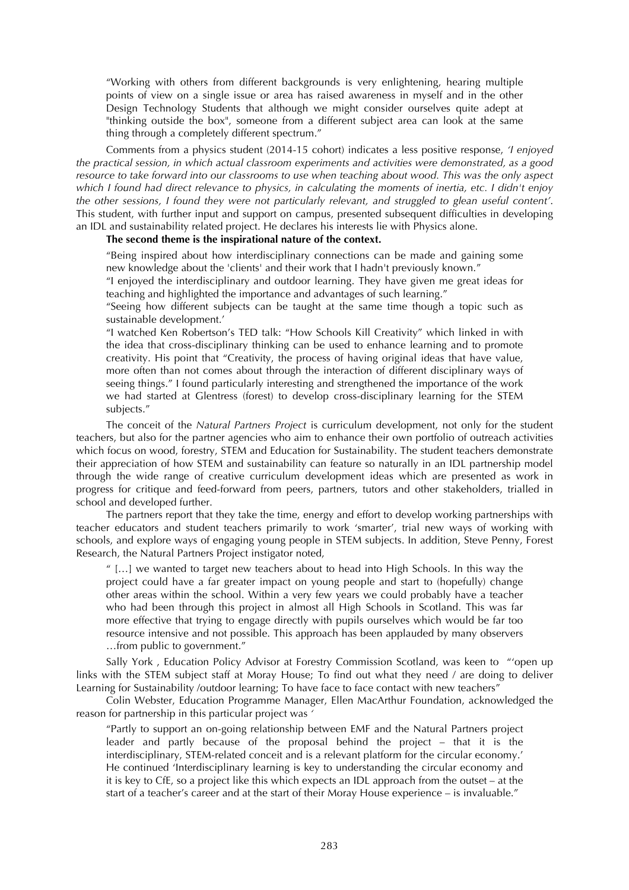"Working with others from different backgrounds is very enlightening, hearing multiple points of view on a single issue or area has raised awareness in myself and in the other Design Technology Students that although we might consider ourselves quite adept at "thinking outside the box", someone from a different subject area can look at the same thing through a completely different spectrum."

Comments from a physics student (2014-15 cohort) indicates a less positive response, *'I enjoyed the practical session, in which actual classroom experiments and activities were demonstrated, as a good resource to take forward into our classrooms to use when teaching about wood. This was the only aspect which I found had direct relevance to physics, in calculating the moments of inertia, etc. I didn't enjoy the other sessions, I found they were not particularly relevant, and struggled to glean useful content'*. This student, with further input and support on campus, presented subsequent difficulties in developing an IDL and sustainability related project. He declares his interests lie with Physics alone.

#### **The second theme is the inspirational nature of the context.**

"Being inspired about how interdisciplinary connections can be made and gaining some new knowledge about the 'clients' and their work that I hadn't previously known."

"I enjoyed the interdisciplinary and outdoor learning. They have given me great ideas for teaching and highlighted the importance and advantages of such learning."

"Seeing how different subjects can be taught at the same time though a topic such as sustainable development.'

"I watched Ken Robertson's TED talk: "How Schools Kill Creativity" which linked in with the idea that cross-disciplinary thinking can be used to enhance learning and to promote creativity. His point that "Creativity, the process of having original ideas that have value, more often than not comes about through the interaction of different disciplinary ways of seeing things." I found particularly interesting and strengthened the importance of the work we had started at Glentress (forest) to develop cross-disciplinary learning for the STEM subjects."

The conceit of the *Natural Partners Project* is curriculum development, not only for the student teachers, but also for the partner agencies who aim to enhance their own portfolio of outreach activities which focus on wood, forestry, STEM and Education for Sustainability. The student teachers demonstrate their appreciation of how STEM and sustainability can feature so naturally in an IDL partnership model through the wide range of creative curriculum development ideas which are presented as work in progress for critique and feed-forward from peers, partners, tutors and other stakeholders, trialled in school and developed further.

The partners report that they take the time, energy and effort to develop working partnerships with teacher educators and student teachers primarily to work 'smarter', trial new ways of working with schools, and explore ways of engaging young people in STEM subjects. In addition, Steve Penny, Forest Research, the Natural Partners Project instigator noted,

 $\frac{u}{v}$  [...] we wanted to target new teachers about to head into High Schools. In this way the project could have a far greater impact on young people and start to (hopefully) change other areas within the school. Within a very few years we could probably have a teacher who had been through this project in almost all High Schools in Scotland. This was far more effective that trying to engage directly with pupils ourselves which would be far too resource intensive and not possible. This approach has been applauded by many observers …from public to government."

Sally York , Education Policy Advisor at Forestry Commission Scotland, was keen to "'open up links with the STEM subject staff at Moray House; To find out what they need / are doing to deliver Learning for Sustainability /outdoor learning; To have face to face contact with new teachers"

Colin Webster, Education Programme Manager, Ellen MacArthur Foundation, acknowledged the reason for partnership in this particular project was *'*

"Partly to support an on-going relationship between EMF and the Natural Partners project leader and partly because of the proposal behind the project – that it is the interdisciplinary, STEM-related conceit and is a relevant platform for the circular economy.' He continued 'Interdisciplinary learning is key to understanding the circular economy and it is key to CfE, so a project like this which expects an IDL approach from the outset – at the start of a teacher's career and at the start of their Moray House experience – is invaluable."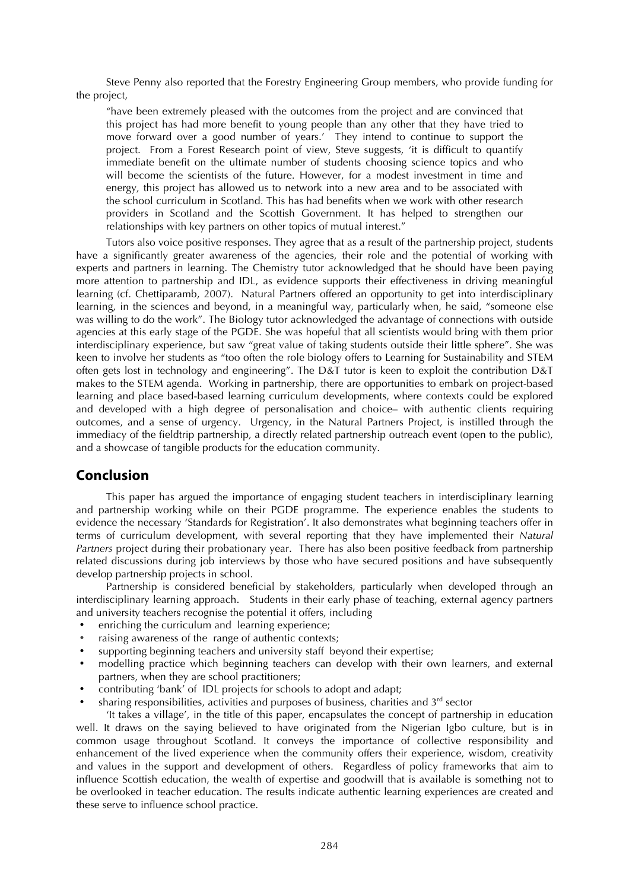Steve Penny also reported that the Forestry Engineering Group members, who provide funding for the project,

"have been extremely pleased with the outcomes from the project and are convinced that this project has had more benefit to young people than any other that they have tried to move forward over a good number of years.' They intend to continue to support the project. From a Forest Research point of view, Steve suggests, 'it is difficult to quantify immediate benefit on the ultimate number of students choosing science topics and who will become the scientists of the future. However, for a modest investment in time and energy, this project has allowed us to network into a new area and to be associated with the school curriculum in Scotland. This has had benefits when we work with other research providers in Scotland and the Scottish Government. It has helped to strengthen our relationships with key partners on other topics of mutual interest."

Tutors also voice positive responses. They agree that as a result of the partnership project, students have a significantly greater awareness of the agencies, their role and the potential of working with experts and partners in learning. The Chemistry tutor acknowledged that he should have been paying more attention to partnership and IDL, as evidence supports their effectiveness in driving meaningful learning (cf. Chettiparamb, 2007). Natural Partners offered an opportunity to get into interdisciplinary learning, in the sciences and beyond, in a meaningful way, particularly when, he said, "someone else was willing to do the work". The Biology tutor acknowledged the advantage of connections with outside agencies at this early stage of the PGDE. She was hopeful that all scientists would bring with them prior interdisciplinary experience, but saw "great value of taking students outside their little sphere". She was keen to involve her students as "too often the role biology offers to Learning for Sustainability and STEM often gets lost in technology and engineering". The D&T tutor is keen to exploit the contribution D&T makes to the STEM agenda. Working in partnership, there are opportunities to embark on project-based learning and place based-based learning curriculum developments, where contexts could be explored and developed with a high degree of personalisation and choice– with authentic clients requiring outcomes, and a sense of urgency. Urgency, in the Natural Partners Project, is instilled through the immediacy of the fieldtrip partnership, a directly related partnership outreach event (open to the public), and a showcase of tangible products for the education community.

#### **Conclusion**

This paper has argued the importance of engaging student teachers in interdisciplinary learning and partnership working while on their PGDE programme. The experience enables the students to evidence the necessary 'Standards for Registration'. It also demonstrates what beginning teachers offer in terms of curriculum development, with several reporting that they have implemented their *Natural Partners* project during their probationary year. There has also been positive feedback from partnership related discussions during job interviews by those who have secured positions and have subsequently develop partnership projects in school.

Partnership is considered beneficial by stakeholders, particularly when developed through an interdisciplinary learning approach. Students in their early phase of teaching, external agency partners and university teachers recognise the potential it offers, including

- enriching the curriculum and learning experience;
- raising awareness of the range of authentic contexts;
- supporting beginning teachers and university staff beyond their expertise;
- modelling practice which beginning teachers can develop with their own learners, and external partners, when they are school practitioners;
- contributing 'bank' of IDL projects for schools to adopt and adapt;
- sharing responsibilities, activities and purposes of business, charities and  $3<sup>rd</sup>$  sector

'It takes a village', in the title of this paper, encapsulates the concept of partnership in education well. It draws on the saying believed to have originated from the Nigerian Igbo culture, but is in common usage throughout Scotland. It conveys the importance of collective responsibility and enhancement of the lived experience when the community offers their experience, wisdom, creativity and values in the support and development of others. Regardless of policy frameworks that aim to influence Scottish education, the wealth of expertise and goodwill that is available is something not to be overlooked in teacher education. The results indicate authentic learning experiences are created and these serve to influence school practice.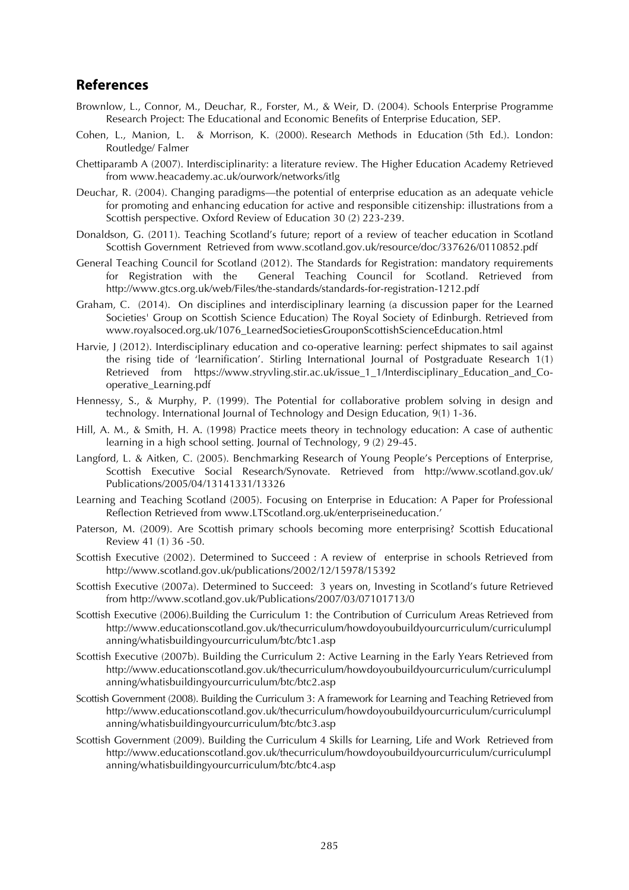#### **References**

- Brownlow, L., Connor, M., Deuchar, R., Forster, M., & Weir, D. (2004). Schools Enterprise Programme Research Project: The Educational and Economic Benefits of Enterprise Education, SEP.
- Cohen, L., Manion, L. & Morrison, K. (2000). Research Methods in Education (5th Ed.). London: Routledge/ Falmer
- Chettiparamb A (2007). Interdisciplinarity: a literature review. The Higher Education Academy Retrieved from www.heacademy.ac.uk/ourwork/networks/itlg
- Deuchar, R. (2004). Changing paradigms—the potential of enterprise education as an adequate vehicle for promoting and enhancing education for active and responsible citizenship: illustrations from a Scottish perspective. Oxford Review of Education 30 (2) 223-239.
- Donaldson, G. (2011). Teaching Scotland's future; report of a review of teacher education in Scotland Scottish Government Retrieved from www.scotland.gov.uk/resource/doc/337626/0110852.pdf
- General Teaching Council for Scotland (2012). The Standards for Registration: mandatory requirements for Registration with the General Teaching Council for Scotland. Retrieved from http://www.gtcs.org.uk/web/Files/the-standards/standards-for-registration-1212.pdf
- Graham, C. (2014). On disciplines and interdisciplinary learning (a discussion paper for the Learned Societies' Group on Scottish Science Education) The Royal Society of Edinburgh. Retrieved from www.royalsoced.org.uk/1076\_LearnedSocietiesGrouponScottishScienceEducation.html
- Harvie, J (2012). Interdisciplinary education and co-operative learning: perfect shipmates to sail against the rising tide of 'learnification'. Stirling International Journal of Postgraduate Research 1(1) Retrieved from https://www.stryvling.stir.ac.uk/issue\_1\_1/Interdisciplinary\_Education\_and\_Cooperative\_Learning.pdf
- Hennessy, S., & Murphy, P. (1999). The Potential for collaborative problem solving in design and technology. International Journal of Technology and Design Education, 9(1) 1-36.
- Hill, A. M., & Smith, H. A. (1998) Practice meets theory in technology education: A case of authentic learning in a high school setting. Journal of Technology, 9 (2) 29-45.
- Langford, L. & Aitken, C. (2005). Benchmarking Research of Young People's Perceptions of Enterprise, Scottish Executive Social Research/Synovate. Retrieved from http://www.scotland.gov.uk/ Publications/2005/04/13141331/13326
- Learning and Teaching Scotland (2005). Focusing on Enterprise in Education: A Paper for Professional Reflection Retrieved from www.LTScotland.org.uk/enterpriseineducation.'
- Paterson, M. (2009). Are Scottish primary schools becoming more enterprising? Scottish Educational Review 41 (1) 36 -50.
- Scottish Executive (2002). Determined to Succeed : A review of enterprise in schools Retrieved from http://www.scotland.gov.uk/publications/2002/12/15978/15392
- Scottish Executive (2007a). Determined to Succeed: 3 years on, Investing in Scotland's future Retrieved from http://www.scotland.gov.uk/Publications/2007/03/07101713/0
- Scottish Executive (2006).Building the Curriculum 1: the Contribution of Curriculum Areas Retrieved from http://www.educationscotland.gov.uk/thecurriculum/howdoyoubuildyourcurriculum/curriculumpl anning/whatisbuildingyourcurriculum/btc/btc1.asp
- Scottish Executive (2007b). Building the Curriculum 2: Active Learning in the Early Years Retrieved from http://www.educationscotland.gov.uk/thecurriculum/howdoyoubuildyourcurriculum/curriculumpl anning/whatisbuildingyourcurriculum/btc/btc2.asp
- Scottish Government (2008). Building the Curriculum 3: A framework for Learning and Teaching Retrieved from http://www.educationscotland.gov.uk/thecurriculum/howdoyoubuildyourcurriculum/curriculumpl anning/whatisbuildingyourcurriculum/btc/btc3.asp
- Scottish Government (2009). Building the Curriculum 4 Skills for Learning, Life and Work Retrieved from http://www.educationscotland.gov.uk/thecurriculum/howdoyoubuildyourcurriculum/curriculumpl anning/whatisbuildingyourcurriculum/btc/btc4.asp